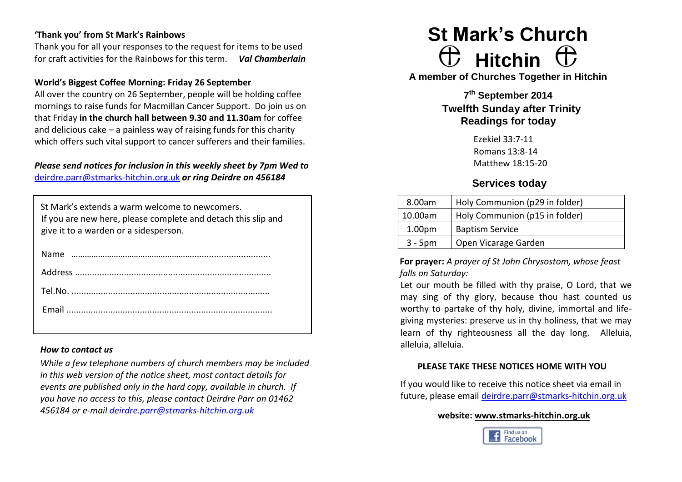# **'Thank you' from St Mark's Rainbows**

Thank you for all your responses to the request for items to be used for craft activities for the Rainbows for this term. *Val Chamberlain*

## **World's Biggest Coffee Morning: Friday 26 September**

All over the country on 26 September, people will be holding coffee mornings to raise funds for Macmillan Cancer Support. Do join us on that Friday **in the church hall between 9.30 and 11.30am** for coffee and delicious cake – a painless way of raising funds for this charity which offers such vital support to cancer sufferers and their families.

# *Please send notices for inclusion in this weekly sheet by 7pm Wed to*  [deirdre.parr@stmarks-hitchin.org.uk](mailto:deirdre.parr@stmarks-hitchin.org.uk) *or ring Deirdre on 456184*

| St Mark's extends a warm welcome to newcomers.<br>If you are new here, please complete and detach this slip and<br>give it to a warden or a sidesperson. |
|----------------------------------------------------------------------------------------------------------------------------------------------------------|
|                                                                                                                                                          |
|                                                                                                                                                          |
|                                                                                                                                                          |
|                                                                                                                                                          |
|                                                                                                                                                          |

## *How to contact us*

*While a few telephone numbers of church members may be included in this web version of the notice sheet, most contact details for events are published only in the hard copy, available in church. If you have no access to this, please contact Deirdre Parr on 01462 456184 or e-mail [deirdre.parr@stmarks-hitchin.org.uk](file:///C:/Users/Andrew/Documents/Church/Communications/Notice%20sheet%20proof%20read/2012/deirdre.parr@stmarks-hitchin.org.uk)*

# **St Mark's Church Hitchin**

**A member of Churches Together in Hitchin**

**7 th September 2014 Twelfth Sunday after Trinity Readings for today**

> Ezekiel 33:7-11 Romans 13:8-14 Matthew 18:15-20

# **Services today**

| 8.00am             | Holy Communion (p29 in folder) |  |  |
|--------------------|--------------------------------|--|--|
| 10.00am            | Holy Communion (p15 in folder) |  |  |
| 1.00 <sub>pm</sub> | <b>Baptism Service</b>         |  |  |
| $3 - 5$ pm         | Open Vicarage Garden           |  |  |

**For prayer:** *A prayer of St John Chrysostom, whose feast falls on Saturday:*

Let our mouth be filled with thy praise, O Lord, that we may sing of thy glory, because thou hast counted us worthy to partake of thy holy, divine, immortal and lifegiving mysteries: preserve us in thy holiness, that we may learn of thy righteousness all the day long. Alleluia, alleluia, alleluia.

## **PLEASE TAKE THESE NOTICES HOME WITH YOU**

If you would like to receive this notice sheet via email in future, please email [deirdre.parr@stmarks-hitchin.org.uk](mailto:deirdre.parr@stmarks-hitchin.org.uk)

### **website: [www.stmarks-hitchin.org.uk](http://www.stmarks-hitchin.org.uk/)**

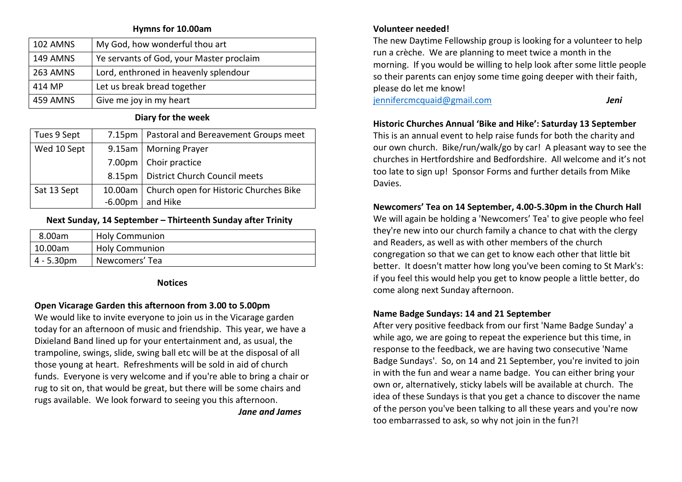### **Hymns for 10.00am**

| 102 AMNS        | My God, how wonderful thou art           |
|-----------------|------------------------------------------|
| <b>149 AMNS</b> | Ye servants of God, your Master proclaim |
| 263 AMNS        | Lord, enthroned in heavenly splendour    |
| 414 MP          | Let us break bread together              |
| 459 AMNS        | Give me joy in my heart                  |

# **Diary for the week**

| Tues 9 Sept | $7.15 \text{pm}$ | Pastoral and Bereavement Groups meet   |
|-------------|------------------|----------------------------------------|
| Wed 10 Sept |                  | 9.15am   Morning Prayer                |
|             |                  | 7.00pm   Choir practice                |
|             |                  | 8.15pm   District Church Council meets |
| Sat 13 Sept | 10.00am          | Church open for Historic Churches Bike |
|             | $-6.00pm$        | and Hike                               |

# **Next Sunday, 14 September – Thirteenth Sunday after Trinity**

| 8.00am        | <b>Holy Communion</b> |  |  |
|---------------|-----------------------|--|--|
| 10.00am       | <b>Holy Communion</b> |  |  |
| $4 - 5.30$ pm | Newcomers' Tea        |  |  |

## **Notices**

# **Open Vicarage Garden this afternoon from 3.00 to 5.00pm**

We would like to invite everyone to join us in the Vicarage garden today for an afternoon of music and friendship. This year, we have a Dixieland Band lined up for your entertainment and, as usual, the trampoline, swings, slide, swing ball etc will be at the disposal of all those young at heart. Refreshments will be sold in aid of church funds. Everyone is very welcome and if you're able to bring a chair or rug to sit on, that would be great, but there will be some chairs and rugs available. We look forward to seeing you this afternoon.

*Jane and James*

# **Volunteer needed!**

The new Daytime Fellowship group is looking for a volunteer to help run a crèche. We are planning to meet twice a month in the morning. If you would be willing to help look after some little people so their parents can enjoy some time going deeper with their faith, please do let me know!

[jennifercmcquaid@gmail.com](mailto:jennifercmcquaid@gmail.com) *Jeni*

# **Historic Churches Annual 'Bike and Hike': Saturday 13 September**

This is an annual event to help raise funds for both the charity and our own church. Bike/run/walk/go by car! A pleasant way to see the churches in Hertfordshire and Bedfordshire. All welcome and it's not too late to sign up! Sponsor Forms and further details from Mike Davies.

# **Newcomers' Tea on 14 September, 4.00-5.30pm in the Church Hall**

We will again be holding a 'Newcomers' Tea' to give people who feel they're new into our church family a chance to chat with the clergy and Readers, as well as with other members of the church congregation so that we can get to know each other that little bit better. It doesn't matter how long you've been coming to St Mark's: if you feel this would help you get to know people a little better, do come along next Sunday afternoon.

# **Name Badge Sundays: 14 and 21 September**

After very positive feedback from our first 'Name Badge Sunday' a while ago, we are going to repeat the experience but this time, in response to the feedback, we are having two consecutive 'Name Badge Sundays'. So, on 14 and 21 September, you're invited to join in with the fun and wear a name badge. You can either bring your own or, alternatively, sticky labels will be available at church. The idea of these Sundays is that you get a chance to discover the name of the person you've been talking to all these years and you're now too embarrassed to ask, so why not join in the fun?!